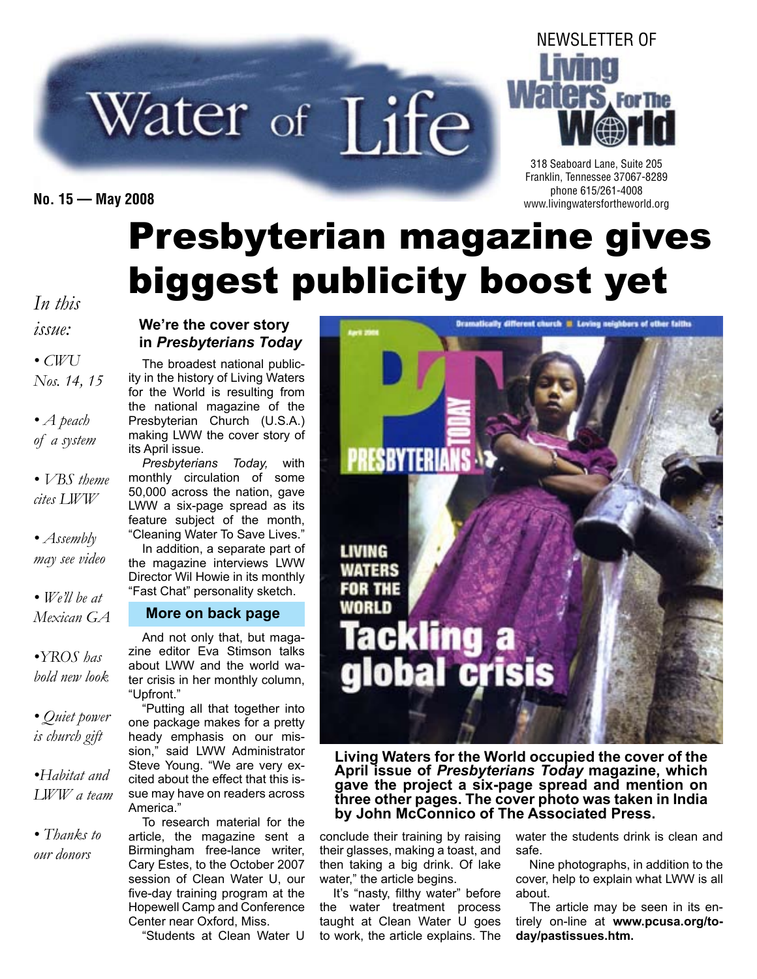# Water of Life

NEWSLETTER OF **For The** 

318 Seaboard Lane, Suite 205 Franklin, Tennessee 37067-8289 phone 615/261-4008 **No. 15 — May 2008** www.livingwatersfortheworld.org

# Presbyterian magazine gives biggest publicity boost yet

*In this issue:*

*• CWU Nos. 14, 15*

*• A peach of a system*

*• VBS theme cites LWW*

*• Assembly may see video*

*• We'll be at Mexican GA*

*•YROS has bold new look*

*• Quiet power is church gift*

*•Habitat and LWW a team*

*• Thanks to our donors*

#### **We're the cover story in** *Presbyterians Today*

The broadest national publicity in the history of Living Waters for the World is resulting from the national magazine of the Presbyterian Church (U.S.A.) making LWW the cover story of its April issue.

*Presbyterians Today,* with monthly circulation of some 50,000 across the nation, gave LWW a six-page spread as its feature subject of the month, "Cleaning Water To Save Lives." In addition, a separate part of the magazine interviews LWW Director Wil Howie in its monthly "Fast Chat" personality sketch.

#### **More on back page**

And not only that, but magazine editor Eva Stimson talks about LWW and the world water crisis in her monthly column, "Upfront."

"Putting all that together into one package makes for a pretty heady emphasis on our mission," said LWW Administrator Steve Young. "We are very excited about the effect that this issue may have on readers across America."

To research material for the article, the magazine sent a Birmingham free-lance writer, Cary Estes, to the October 2007 session of Clean Water U, our five-day training program at the Hopewell Camp and Conference Center near Oxford, Miss.

"Students at Clean Water U



**Living Waters for the World occupied the cover of the April issue of** *Presbyterians Today* **magazine, which gave the project a six-page spread and mention on three other pages. The cover photo was taken in India by John McConnico of The Associated Press.**

conclude their training by raising their glasses, making a toast, and then taking a big drink. Of lake water," the article begins.

It's "nasty, filthy water" before the water treatment process taught at Clean Water U goes to work, the article explains. The

water the students drink is clean and safe.

Nine photographs, in addition to the cover, help to explain what LWW is all about.

The article may be seen in its entirely on-line at **www.pcusa.org/today/pastissues.htm.**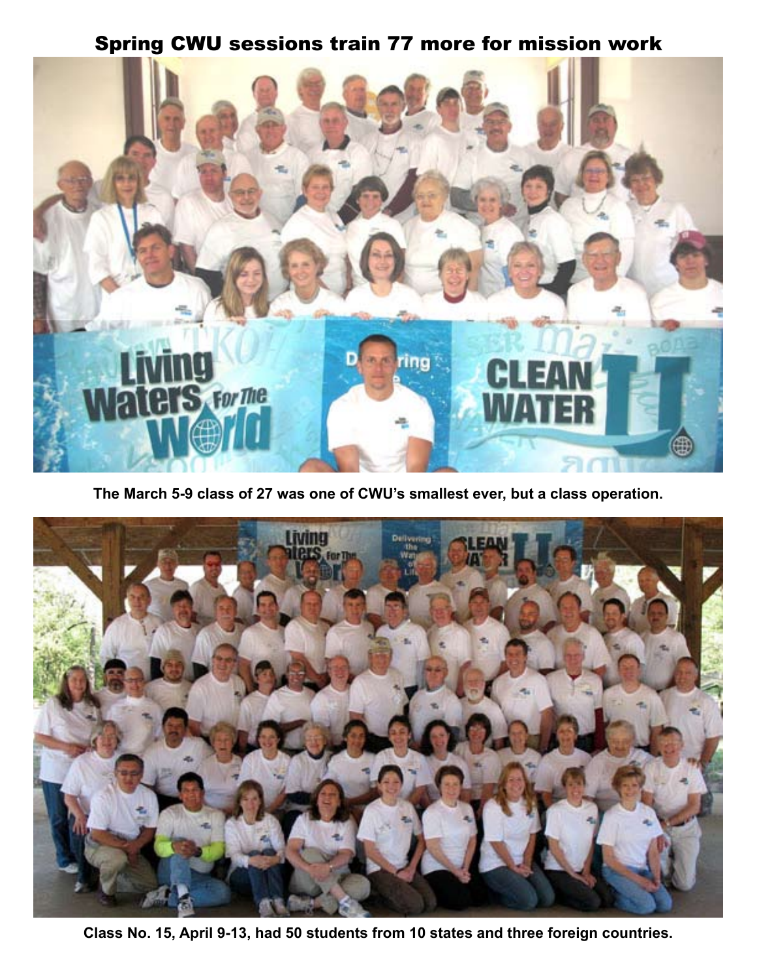#### Spring CWU sessions train 77 more for mission work



**The March 5-9 class of 27 was one of CWU's smallest ever, but a class operation.**



**Class No. 15, April 9-13, had 50 students from 10 states and three foreign countries.**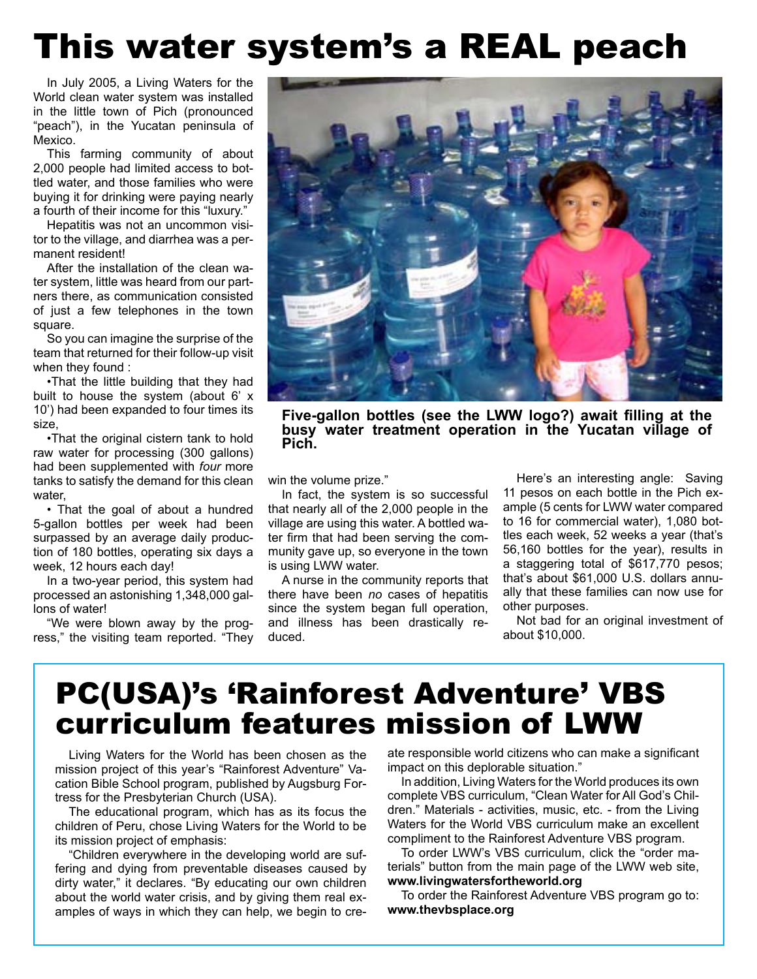# This water system's a REAL peach

In July 2005, a Living Waters for the World clean water system was installed in the little town of Pich (pronounced "peach"), in the Yucatan peninsula of Mexico.

This farming community of about 2,000 people had limited access to bottled water, and those families who were buying it for drinking were paying nearly a fourth of their income for this "luxury."

Hepatitis was not an uncommon visitor to the village, and diarrhea was a permanent resident!

After the installation of the clean water system, little was heard from our partners there, as communication consisted of just a few telephones in the town square.

So you can imagine the surprise of the team that returned for their follow-up visit when they found :

•That the little building that they had built to house the system (about 6' x 10') had been expanded to four times its size,

•That the original cistern tank to hold raw water for processing (300 gallons) had been supplemented with *four* more tanks to satisfy the demand for this clean water,

• That the goal of about a hundred 5-gallon bottles per week had been surpassed by an average daily production of 180 bottles, operating six days a week, 12 hours each day!

In a two-year period, this system had processed an astonishing 1,348,000 gallons of water!

"We were blown away by the progress," the visiting team reported. "They



**Five-gallon bottles (see the LWW logo?) await filling at the busy water treatment operation in the Yucatan village of Pich.**

win the volume prize."

In fact, the system is so successful that nearly all of the 2,000 people in the village are using this water. A bottled water firm that had been serving the community gave up, so everyone in the town is using LWW water.

A nurse in the community reports that there have been *no* cases of hepatitis since the system began full operation, and illness has been drastically reduced.

Here's an interesting angle: Saving 11 pesos on each bottle in the Pich example (5 cents for LWW water compared to 16 for commercial water), 1,080 bottles each week, 52 weeks a year (that's 56,160 bottles for the year), results in a staggering total of \$617,770 pesos; that's about \$61,000 U.S. dollars annually that these families can now use for other purposes.

Not bad for an original investment of about \$10,000.

## PC(USA)'s 'Rainforest Adventure' VBS curriculum features mission of LWW

Living Waters for the World has been chosen as the mission project of this year's "Rainforest Adventure" Vacation Bible School program, published by Augsburg Fortress for the Presbyterian Church (USA).

The educational program, which has as its focus the children of Peru, chose Living Waters for the World to be its mission project of emphasis:

"Children everywhere in the developing world are suffering and dying from preventable diseases caused by dirty water," it declares. "By educating our own children about the world water crisis, and by giving them real examples of ways in which they can help, we begin to create responsible world citizens who can make a significant impact on this deplorable situation."

In addition, Living Waters for the World produces its own complete VBS curriculum, "Clean Water for All God's Children." Materials - activities, music, etc. - from the Living Waters for the World VBS curriculum make an excellent compliment to the Rainforest Adventure VBS program.

To order LWW's VBS curriculum, click the "order materials" button from the main page of the LWW web site, **www.livingwatersfortheworld.org**

To order the Rainforest Adventure VBS program go to: **www.thevbsplace.org**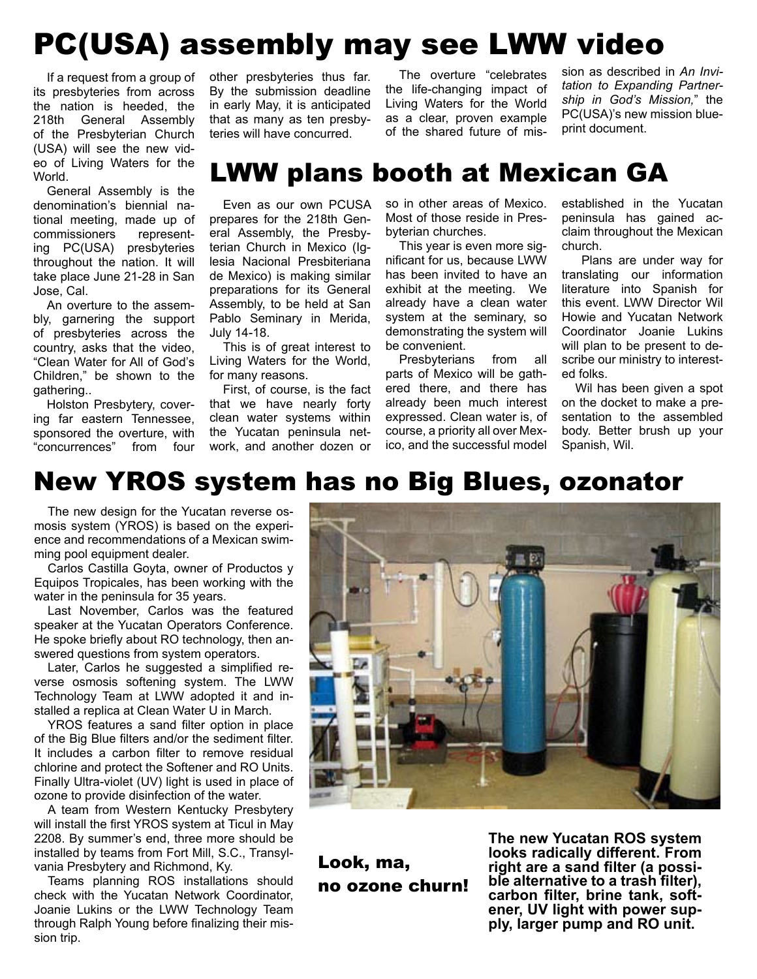## PC(USA) assembly may see LWW video

If a request from a group of its presbyteries from across the nation is heeded, the 218th General Assembly of the Presbyterian Church (USA) will see the new video of Living Waters for the World.

General Assembly is the denomination's biennial national meeting, made up of commissioners representing PC(USA) presbyteries throughout the nation. It will take place June 21-28 in San Jose, Cal.

An overture to the assembly, garnering the support of presbyteries across the country, asks that the video, "Clean Water for All of God's Children," be shown to the gathering..

Holston Presbytery, covering far eastern Tennessee, sponsored the overture, with "concurrences" from four other presbyteries thus far. By the submission deadline in early May, it is anticipated that as many as ten presbyteries will have concurred.

The overture "celebrates the life-changing impact of Living Waters for the World as a clear, proven example of the shared future of mission as described in *An Invitation to Expanding Partnership in God's Mission,*" the PC(USA)'s new mission blueprint document.

#### LWW plans booth at Mexican GA

Even as our own PCUSA prepares for the 218th General Assembly, the Presbyterian Church in Mexico (Iglesia Nacional Presbiteriana de Mexico) is making similar preparations for its General Assembly, to be held at San Pablo Seminary in Merida, July 14-18.

This is of great interest to Living Waters for the World, for many reasons.

First, of course, is the fact that we have nearly forty clean water systems within the Yucatan peninsula network, and another dozen or

so in other areas of Mexico. Most of those reside in Presbyterian churches.

This year is even more significant for us, because LWW has been invited to have an exhibit at the meeting. We already have a clean water system at the seminary, so demonstrating the system will be convenient.

Presbyterians from all parts of Mexico will be gathered there, and there has already been much interest expressed. Clean water is, of course, a priority all over Mexico, and the successful model

established in the Yucatan peninsula has gained acclaim throughout the Mexican church.

Plans are under way for translating our information literature into Spanish for this event. LWW Director Wil Howie and Yucatan Network Coordinator Joanie Lukins will plan to be present to describe our ministry to interested folks.

Wil has been given a spot on the docket to make a presentation to the assembled body. Better brush up your Spanish, Wil.

#### New YROS system has no Big Blues, ozonator

The new design for the Yucatan reverse osmosis system (YROS) is based on the experience and recommendations of a Mexican swimming pool equipment dealer.

Carlos Castilla Goyta, owner of Productos y Equipos Tropicales, has been working with the water in the peninsula for 35 years.

Last November, Carlos was the featured speaker at the Yucatan Operators Conference. He spoke briefly about RO technology, then answered questions from system operators.

Later, Carlos he suggested a simplified reverse osmosis softening system. The LWW Technology Team at LWW adopted it and installed a replica at Clean Water U in March.

YROS features a sand filter option in place of the Big Blue filters and/or the sediment filter. It includes a carbon filter to remove residual chlorine and protect the Softener and RO Units. Finally Ultra-violet (UV) light is used in place of ozone to provide disinfection of the water.

A team from Western Kentucky Presbytery will install the first YROS system at Ticul in May 2208. By summer's end, three more should be installed by teams from Fort Mill, S.C., Transylvania Presbytery and Richmond, Ky.

Teams planning ROS installations should check with the Yucatan Network Coordinator, Joanie Lukins or the LWW Technology Team through Ralph Young before finalizing their mission trip.



Look, ma, no ozone churn!

**The new Yucatan ROS system looks radically different. From ble alternative to a trash filter), carbon filter, brine tank, soft- ener, UV light with power sup- ply, larger pump and RO unit.**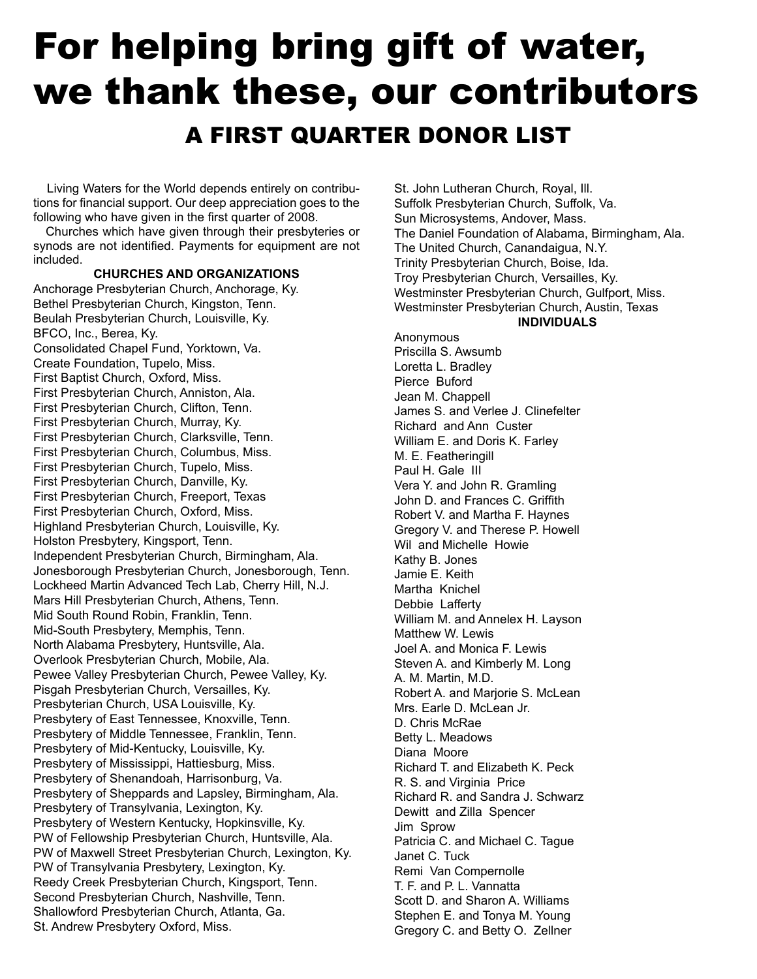# For helping bring gift of water, we thank these, our contributors A FIRST QUARTER DONOR LIST

Living Waters for the World depends entirely on contributions for financial support. Our deep appreciation goes to the following who have given in the first quarter of 2008.

Churches which have given through their presbyteries or synods are not identified. Payments for equipment are not included.

#### **CHURCHES AND ORGANIZATIONS**

Anchorage Presbyterian Church, Anchorage, Ky. Bethel Presbyterian Church, Kingston, Tenn. Beulah Presbyterian Church, Louisville, Ky. BFCO, Inc., Berea, Ky. Consolidated Chapel Fund, Yorktown, Va. Create Foundation, Tupelo, Miss. First Baptist Church, Oxford, Miss. First Presbyterian Church, Anniston, Ala. First Presbyterian Church, Clifton, Tenn. First Presbyterian Church, Murray, Ky. First Presbyterian Church, Clarksville, Tenn. First Presbyterian Church, Columbus, Miss. First Presbyterian Church, Tupelo, Miss. First Presbyterian Church, Danville, Ky. First Presbyterian Church, Freeport, Texas First Presbyterian Church, Oxford, Miss. Highland Presbyterian Church, Louisville, Ky. Holston Presbytery, Kingsport, Tenn. Independent Presbyterian Church, Birmingham, Ala. Jonesborough Presbyterian Church, Jonesborough, Tenn. Lockheed Martin Advanced Tech Lab, Cherry Hill, N.J. Mars Hill Presbyterian Church, Athens, Tenn. Mid South Round Robin, Franklin, Tenn. Mid-South Presbytery, Memphis, Tenn. North Alabama Presbytery, Huntsville, Ala. Overlook Presbyterian Church, Mobile, Ala. Pewee Valley Presbyterian Church, Pewee Valley, Ky. Pisgah Presbyterian Church, Versailles, Ky. Presbyterian Church, USA Louisville, Ky. Presbytery of East Tennessee, Knoxville, Tenn. Presbytery of Middle Tennessee, Franklin, Tenn. Presbytery of Mid-Kentucky, Louisville, Ky. Presbytery of Mississippi, Hattiesburg, Miss. Presbytery of Shenandoah, Harrisonburg, Va. Presbytery of Sheppards and Lapsley, Birmingham, Ala. Presbytery of Transylvania, Lexington, Ky. Presbytery of Western Kentucky, Hopkinsville, Ky. PW of Fellowship Presbyterian Church, Huntsville, Ala. PW of Maxwell Street Presbyterian Church, Lexington, Ky. PW of Transylvania Presbytery, Lexington, Ky. Reedy Creek Presbyterian Church, Kingsport, Tenn. Second Presbyterian Church, Nashville, Tenn. Shallowford Presbyterian Church, Atlanta, Ga. St. Andrew Presbytery Oxford, Miss.

St. John Lutheran Church, Royal, Ill. Suffolk Presbyterian Church, Suffolk, Va. Sun Microsystems, Andover, Mass. The Daniel Foundation of Alabama, Birmingham, Ala. The United Church, Canandaigua, N.Y. Trinity Presbyterian Church, Boise, Ida. Troy Presbyterian Church, Versailles, Ky. Westminster Presbyterian Church, Gulfport, Miss. Westminster Presbyterian Church, Austin, Texas **INDIVIDUALS**

Anonymous Priscilla S. Awsumb Loretta L. Bradley Pierce Buford Jean M. Chappell James S. and Verlee J. Clinefelter Richard and Ann Custer William E. and Doris K. Farley M. E. Featheringill Paul H. Gale III Vera Y. and John R. Gramling John D. and Frances C. Griffith Robert V. and Martha F. Haynes Gregory V. and Therese P. Howell Wil and Michelle Howie Kathy B. Jones Jamie E. Keith Martha Knichel Debbie Lafferty William M. and Annelex H. Layson Matthew W. Lewis Joel A. and Monica F. Lewis Steven A. and Kimberly M. Long A. M. Martin, M.D. Robert A. and Marjorie S. McLean Mrs. Earle D. McLean Jr. D. Chris McRae Betty L. Meadows Diana Moore Richard T. and Elizabeth K. Peck R. S. and Virginia Price Richard R. and Sandra J. Schwarz Dewitt and Zilla Spencer Jim Sprow Patricia C. and Michael C. Tague Janet C. Tuck Remi Van Compernolle T. F. and P. L. Vannatta Scott D. and Sharon A. Williams Stephen E. and Tonya M. Young Gregory C. and Betty O. Zellner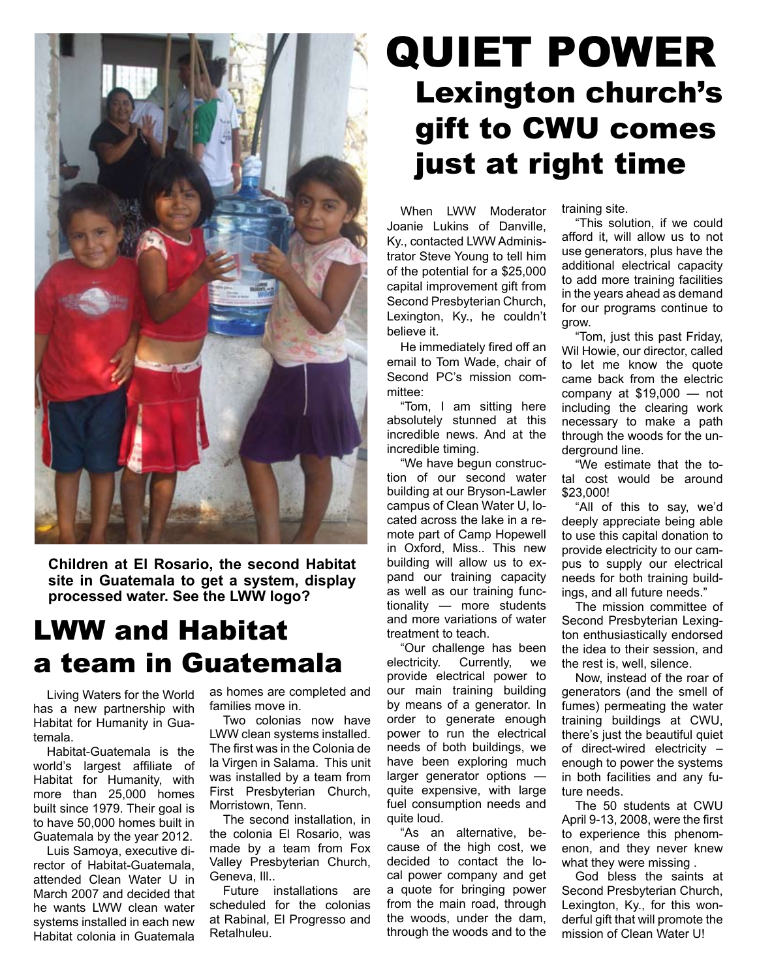

**Children at El Rosario, the second Habitat site in Guatemala to get a system, display processed water. See the LWW logo?**

## LWW and Habitat a team in Guatemala

Living Waters for the World has a new partnership with Habitat for Humanity in Guatemala.

Habitat-Guatemala is the world's largest affiliate of Habitat for Humanity, with more than 25,000 homes built since 1979. Their goal is to have 50,000 homes built in Guatemala by the year 2012.

Luis Samoya, executive director of Habitat-Guatemala, attended Clean Water U in March 2007 and decided that he wants LWW clean water systems installed in each new Habitat colonia in Guatemala

as homes are completed and families move in.

Two colonias now have LWW clean systems installed. The first was in the Colonia de la Virgen in Salama. This unit was installed by a team from First Presbyterian Church, Morristown, Tenn.

The second installation, in the colonia El Rosario, was made by a team from Fox Valley Presbyterian Church, Geneva, Ill..

Future installations are scheduled for the colonias at Rabinal, El Progresso and Retalhuleu.

## QUIET POWER Lexington church's gift to CWU comes just at right time

When LWW Moderator Joanie Lukins of Danville, Ky., contacted LWW Administrator Steve Young to tell him of the potential for a \$25,000 capital improvement gift from Second Presbyterian Church, Lexington, Ky., he couldn't believe it.

He immediately fired off an email to Tom Wade, chair of Second PC's mission committee:

"Tom, I am sitting here absolutely stunned at this incredible news. And at the incredible timing.

"We have begun construction of our second water building at our Bryson-Lawler campus of Clean Water U, located across the lake in a remote part of Camp Hopewell in Oxford, Miss.. This new building will allow us to expand our training capacity as well as our training functionality — more students and more variations of water treatment to teach.

"Our challenge has been electricity. Currently, we provide electrical power to our main training building by means of a generator. In order to generate enough power to run the electrical needs of both buildings, we have been exploring much larger generator options quite expensive, with large fuel consumption needs and quite loud.

"As an alternative, because of the high cost, we decided to contact the local power company and get a quote for bringing power from the main road, through the woods, under the dam, through the woods and to the

training site.

"This solution, if we could afford it, will allow us to not use generators, plus have the additional electrical capacity to add more training facilities in the years ahead as demand for our programs continue to grow.

"Tom, just this past Friday, Wil Howie, our director, called to let me know the quote came back from the electric company at \$19,000 — not including the clearing work necessary to make a path through the woods for the underground line.

"We estimate that the total cost would be around \$23,000!

"All of this to say, we'd deeply appreciate being able to use this capital donation to provide electricity to our campus to supply our electrical needs for both training buildings, and all future needs."

The mission committee of Second Presbyterian Lexington enthusiastically endorsed the idea to their session, and the rest is, well, silence.

Now, instead of the roar of generators (and the smell of fumes) permeating the water training buildings at CWU, there's just the beautiful quiet of direct-wired electricity – enough to power the systems in both facilities and any future needs.

The 50 students at CWU April 9-13, 2008, were the first to experience this phenomenon, and they never knew what they were missing .

God bless the saints at Second Presbyterian Church, Lexington, Ky., for this wonderful gift that will promote the mission of Clean Water U!